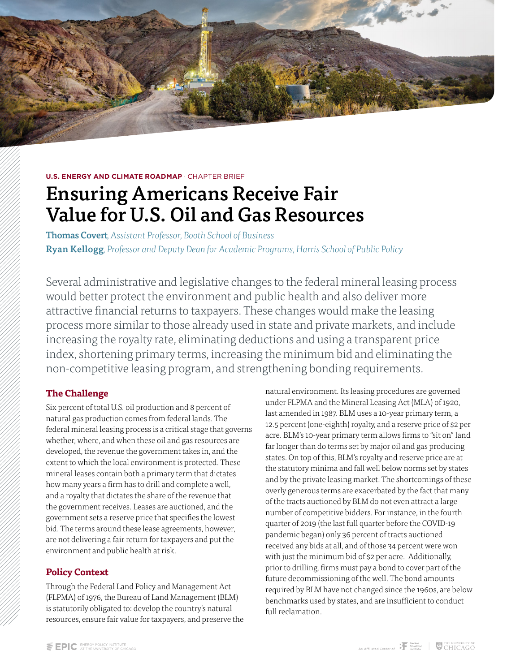**U.S. ENERGY AND CLIMATE ROADMAP · CHAPTER BRIEF** 

# Ensuring Americans Receive Fair Value for U.S. Oil and Gas Resources

Thomas Covert*, Assistant Professor, Booth School of Business* Ryan Kellogg*, Professor and Deputy Dean for Academic Programs, Harris School of Public Policy*

Several administrative and legislative changes to the federal mineral leasing process would better protect the environment and public health and also deliver more attractive financial returns to taxpayers. These changes would make the leasing process more similar to those already used in state and private markets, and include increasing the royalty rate, eliminating deductions and using a transparent price index, shortening primary terms, increasing the minimum bid and eliminating the non-competitive leasing program, and strengthening bonding requirements.

### **The Challenge**

Six percent of total U.S. oil production and 8 percent of natural gas production comes from federal lands. The federal mineral leasing process is a critical stage that governs whether, where, and when these oil and gas resources are developed, the revenue the government takes in, and the extent to which the local environment is protected. These mineral leases contain both a primary term that dictates how many years a firm has to drill and complete a well, and a royalty that dictates the share of the revenue that the government receives. Leases are auctioned, and the government sets a reserve price that specifies the lowest bid. The terms around these lease agreements, however, are not delivering a fair return for taxpayers and put the environment and public health at risk.

### **Policy Context**

Through the Federal Land Policy and Management Act (FLPMA) of 1976, the Bureau of Land Management (BLM) is statutorily obligated to: develop the country's natural resources, ensure fair value for taxpayers, and preserve the natural environment. Its leasing procedures are governed under FLPMA and the Mineral Leasing Act (MLA) of 1920, last amended in 1987. BLM uses a 10-year primary term, a 12.5 percent (one-eighth) royalty, and a reserve price of \$2 per acre. BLM's 10-year primary term allows firms to "sit on" land far longer than do terms set by major oil and gas producing states. On top of this, BLM's royalty and reserve price are at the statutory minima and fall well below norms set by states and by the private leasing market. The shortcomings of these overly generous terms are exacerbated by the fact that many of the tracts auctioned by BLM do not even attract a large number of competitive bidders. For instance, in the fourth quarter of 2019 (the last full quarter before the COVID-19 pandemic began) only 36 percent of tracts auctioned received any bids at all, and of those 34 percent were won with just the minimum bid of \$2 per acre. Additionally, prior to drilling, firms must pay a bond to cover part of the future decommissioning of the well. The bond amounts required by BLM have not changed since the 1960s, are below benchmarks used by states, and are insufficient to conduct full reclamation.